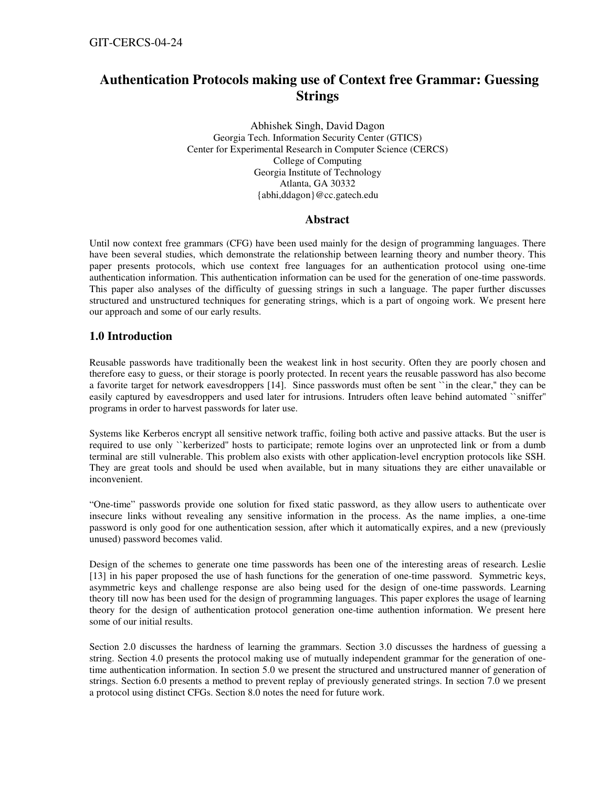# **Authentication Protocols making use of Context free Grammar: Guessing Strings**

Abhishek Singh, David Dagon Georgia Tech. Information Security Center (GTICS) Center for Experimental Research in Computer Science (CERCS) College of Computing Georgia Institute of Technology Atlanta, GA 30332 {abhi,ddagon}@cc.gatech.edu

### **Abstract**

Until now context free grammars (CFG) have been used mainly for the design of programming languages. There have been several studies, which demonstrate the relationship between learning theory and number theory. This paper presents protocols, which use context free languages for an authentication protocol using one-time authentication information. This authentication information can be used for the generation of one-time passwords. This paper also analyses of the difficulty of guessing strings in such a language. The paper further discusses structured and unstructured techniques for generating strings, which is a part of ongoing work. We present here our approach and some of our early results.

# **1.0 Introduction**

Reusable passwords have traditionally been the weakest link in host security. Often they are poorly chosen and therefore easy to guess, or their storage is poorly protected. In recent years the reusable password has also become a favorite target for network eavesdroppers [14]. Since passwords must often be sent ``in the clear,'' they can be easily captured by eavesdroppers and used later for intrusions. Intruders often leave behind automated ``sniffer'' programs in order to harvest passwords for later use.

Systems like Kerberos encrypt all sensitive network traffic, foiling both active and passive attacks. But the user is required to use only ``kerberized'' hosts to participate; remote logins over an unprotected link or from a dumb terminal are still vulnerable. This problem also exists with other application-level encryption protocols like SSH. They are great tools and should be used when available, but in many situations they are either unavailable or inconvenient.

"One-time" passwords provide one solution for fixed static password, as they allow users to authenticate over insecure links without revealing any sensitive information in the process. As the name implies, a one-time password is only good for one authentication session, after which it automatically expires, and a new (previously unused) password becomes valid.

Design of the schemes to generate one time passwords has been one of the interesting areas of research. Leslie [13] in his paper proposed the use of hash functions for the generation of one-time password. Symmetric keys, asymmetric keys and challenge response are also being used for the design of one-time passwords. Learning theory till now has been used for the design of programming languages. This paper explores the usage of learning theory for the design of authentication protocol generation one-time authention information. We present here some of our initial results.

Section 2.0 discusses the hardness of learning the grammars. Section 3.0 discusses the hardness of guessing a string. Section 4.0 presents the protocol making use of mutually independent grammar for the generation of onetime authentication information. In section 5.0 we present the structured and unstructured manner of generation of strings. Section 6.0 presents a method to prevent replay of previously generated strings. In section 7.0 we present a protocol using distinct CFGs. Section 8.0 notes the need for future work.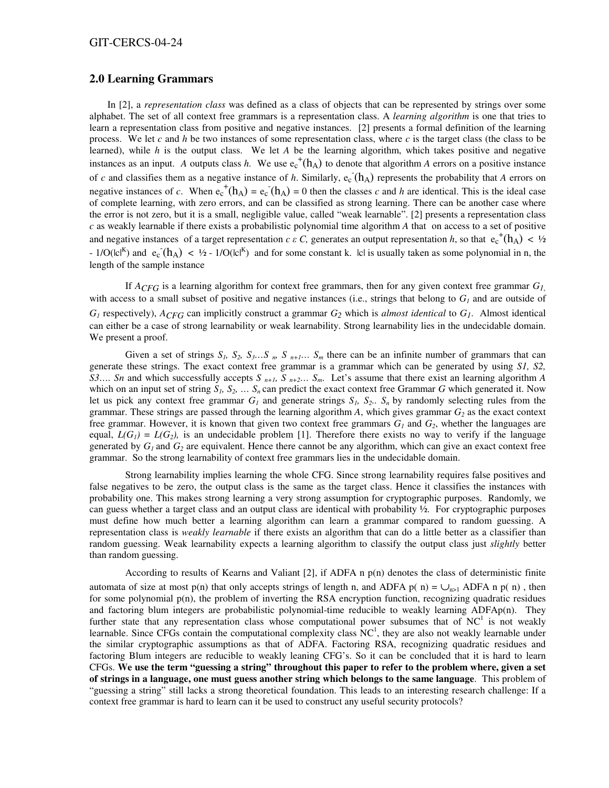### **2.0 Learning Grammars**

In [2], a *representation class* was defined as a class of objects that can be represented by strings over some alphabet. The set of all context free grammars is a representation class. A *learning algorithm* is one that tries to learn a representation class from positive and negative instances. [2] presents a formal definition of the learning process. We let *c* and *h* be two instances of some representation class, where *c* is the target class (the class to be learned), while *h* is the output class. We let *A* be the learning algorithm, which takes positive and negative instances as an input. *A* outputs class *h*. We use  $e_c^{\dagger}(h_A)$  to denote that algorithm *A* errors on a positive instance of c and classifies them as a negative instance of h. Similarly,  $e_c(h_A)$  represents the probability that A errors on negative instances of *c*. When  $e_c^+(h_A) = e_c(h_A) = 0$  then the classes *c* and *h* are identical. This is the ideal case of complete learning, with zero errors, and can be classified as strong learning. There can be another case where the error is not zero, but it is a small, negligible value, called "weak learnable". [2] presents a representation class *c* as weakly learnable if there exists a probabilistic polynomial time algorithm *A* that on access to a set of positive and negative instances of a target representation *c*  $\epsilon$  *C*, generates an output representation *h*, so that  $e_c^{\text{+}}(h_A) < \frac{1}{2}$ -  $1/O(|c|^{K})$  and  $e_c(h_A)$  < 1/2 -  $1/O(|c|^{K})$  and for some constant k. |c| is usually taken as some polynomial in n, the length of the sample instance

If *ACFG* is a learning algorithm for context free grammars, then for any given context free grammar *G1,* with access to a small subset of positive and negative instances (i.e., strings that belong to  $G_I$  and are outside of  $G_I$  respectively),  $A_{CFG}$  can implicitly construct a grammar  $G_2$  which is *almost identical* to  $G_I$ . Almost identical can either be a case of strong learnability or weak learnability. Strong learnability lies in the undecidable domain. We present a proof.

Given a set of strings  $S_1$ ,  $S_2$ ,  $S_3$ …S<sub>n</sub>,  $S_n$ <sub>n+1</sub>…  $S_m$  there can be an infinite number of grammars that can generate these strings. The exact context free grammar is a grammar which can be generated by using *S1, S2, S3.... Sn* and which successfully accepts *S*  $n+1$ *, S*  $n+2$ *… S<sub>m</sub>*. Let's assume that there exist an learning algorithm *A* which on an input set of string  $S_l$ ,  $S_2$ ,  $\ldots$   $S_n$  can predict the exact context free Grammar *G* which generated it. Now let us pick any context free grammar  $G_l$  and generate strings  $S_l$ ,  $S_2$ .  $S_n$  by randomly selecting rules from the grammar. These strings are passed through the learning algorithm  $A$ , which gives grammar  $G_2$  as the exact context free grammar. However, it is known that given two context free grammars  $G<sub>l</sub>$  and  $G<sub>2</sub>$ , whether the languages are equal,  $L(G_I) = L(G_2)$ , is an undecidable problem [1]. Therefore there exists no way to verify if the language generated by  $G_l$  and  $G_2$  are equivalent. Hence there cannot be any algorithm, which can give an exact context free grammar. So the strong learnability of context free grammars lies in the undecidable domain.

Strong learnability implies learning the whole CFG. Since strong learnability requires false positives and false negatives to be zero, the output class is the same as the target class. Hence it classifies the instances with probability one. This makes strong learning a very strong assumption for cryptographic purposes. Randomly, we can guess whether a target class and an output class are identical with probability ½. For cryptographic purposes must define how much better a learning algorithm can learn a grammar compared to random guessing. A representation class is *weakly learnable* if there exists an algorithm that can do a little better as a classifier than random guessing. Weak learnability expects a learning algorithm to classify the output class just *slightly* better than random guessing.

According to results of Kearns and Valiant [2], if ADFA n p(n) denotes the class of deterministic finite automata of size at most p(n) that only accepts strings of length n, and ADFA p( n) =  $\bigcup_{n>1}$  ADFA n p( n), then for some polynomial p(n), the problem of inverting the RSA encryption function, recognizing quadratic residues and factoring blum integers are probabilistic polynomial-time reducible to weakly learning ADFAp(n). They further state that any representation class whose computational power subsumes that of  $NC<sup>1</sup>$  is not weakly learnable. Since CFGs contain the computational complexity class  $NC<sup>1</sup>$ , they are also not weakly learnable under the similar cryptographic assumptions as that of ADFA. Factoring RSA, recognizing quadratic residues and factoring Blum integers are reducible to weakly leaning CFG's. So it can be concluded that it is hard to learn CFGs. We use the term "guessing a string" throughout this paper to refer to the problem where, given a set **of strings in a language, one must guess another string which belongs to the same language**. This problem of "guessing a string" still lacks a strong theoretical foundation. This leads to an interesting research challenge: If a context free grammar is hard to learn can it be used to construct any useful security protocols?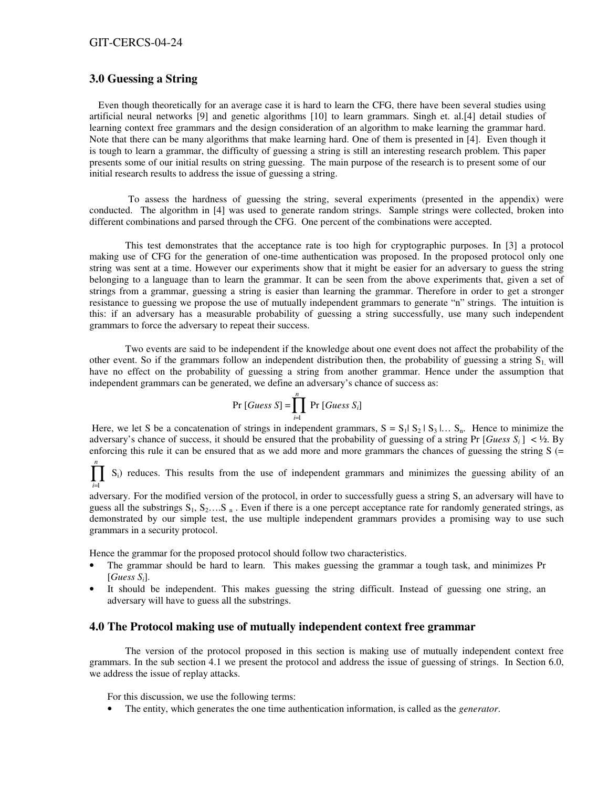#### GIT-CERCS-04-24

## **3.0 Guessing a String**

Even though theoretically for an average case it is hard to learn the CFG, there have been several studies using artificial neural networks [9] and genetic algorithms [10] to learn grammars. Singh et. al.[4] detail studies of learning context free grammars and the design consideration of an algorithm to make learning the grammar hard. Note that there can be many algorithms that make learning hard. One of them is presented in [4]. Even though it is tough to learn a grammar, the difficulty of guessing a string is still an interesting research problem. This paper presents some of our initial results on string guessing. The main purpose of the research is to present some of our initial research results to address the issue of guessing a string.

To assess the hardness of guessing the string, several experiments (presented in the appendix) were conducted. The algorithm in [4] was used to generate random strings. Sample strings were collected, broken into different combinations and parsed through the CFG. One percent of the combinations were accepted.

This test demonstrates that the acceptance rate is too high for cryptographic purposes. In [3] a protocol making use of CFG for the generation of one-time authentication was proposed. In the proposed protocol only one string was sent at a time. However our experiments show that it might be easier for an adversary to guess the string belonging to a language than to learn the grammar. It can be seen from the above experiments that, given a set of strings from a grammar, guessing a string is easier than learning the grammar. Therefore in order to get a stronger resistance to guessing we propose the use of mutually independent grammars to generate "n" strings. The intuition is this: if an adversary has a measurable probability of guessing a string successfully, use many such independent grammars to force the adversary to repeat their success.

Two events are said to be independent if the knowledge about one event does not affect the probability of the other event. So if the grammars follow an independent distribution then, the probability of guessing a string  $S_1$  will have no effect on the probability of guessing a string from another grammar. Hence under the assumption that independent grammars can be generated, we define an adversary's chance of success as:

$$
Pr\left[GuesS\ S\right] = \prod_{i=1}^{n} Pr\left[GuesS\ S_{i}\right]
$$

Here, we let S be a concatenation of strings in independent grammars,  $S = S_1 | S_2 | S_3 | \dots S_n$ . Hence to minimize the adversary's chance of success, it should be ensured that the probability of guessing of a string Pr [*Guess*  $S_i$ ] < ½. By enforcing this rule it can be ensured that as we add more and more grammars the chances of guessing the string  $S$  (=

 $\prod_{i=1}^n$ *i*=1  $S_i$ ) reduces. This results from the use of independent grammars and minimizes the guessing ability of an

adversary. For the modified version of the protocol, in order to successfully guess a string S, an adversary will have to guess all the substrings  $S_1, S_2, \ldots, S_n$ . Even if there is a one percept acceptance rate for randomly generated strings, as demonstrated by our simple test, the use multiple independent grammars provides a promising way to use such grammars in a security protocol.

Hence the grammar for the proposed protocol should follow two characteristics.

- The grammar should be hard to learn. This makes guessing the grammar a tough task, and minimizes Pr [*Guess Si*].
- It should be independent. This makes guessing the string difficult. Instead of guessing one string, an adversary will have to guess all the substrings.

### **4.0 The Protocol making use of mutually independent context free grammar**

The version of the protocol proposed in this section is making use of mutually independent context free grammars. In the sub section 4.1 we present the protocol and address the issue of guessing of strings. In Section 6.0, we address the issue of replay attacks.

For this discussion, we use the following terms:

• The entity, which generates the one time authentication information, is called as the *generator*.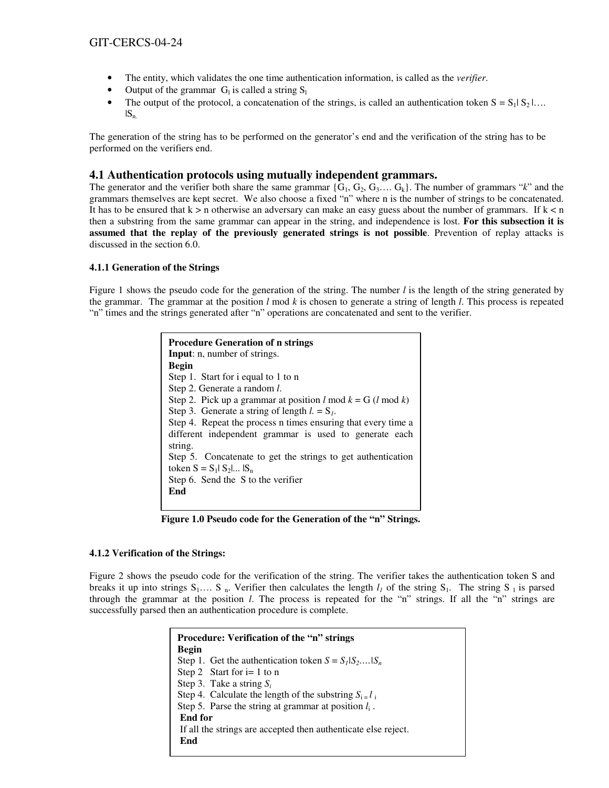- The entity, which validates the one time authentication information, is called as the *verifier*.
- Output of the grammar  $G_l$  is called a string  $S_l$
- The output of the protocol, a concatenation of the strings, is called an authentication token  $S = S_1 | S_2 | \dots$  $|S_n|$

The generation of the string has to be performed on the generator's end and the verification of the string has to be performed on the verifiers end.

### **4.1 Authentication protocols using mutually independent grammars.**

The generator and the verifier both share the same grammar  $\{G_1, G_2, G_3, \ldots, G_k\}$ . The number of grammars "*k*" and the grammars themselves are kept secret. We also choose a fixed "n" where n is the number of strings to be concatenated. It has to be ensured that  $k > n$  otherwise an adversary can make an easy guess about the number of grammars. If  $k < n$ then a substring from the same grammar can appear in the string, and independence is lost. **For this subsection it is assumed that the replay of the previously generated strings is not possible**. Prevention of replay attacks is discussed in the section 6.0.

### **4.1.1 Generation of the Strings**

Figure 1 shows the pseudo code for the generation of the string. The number *l* is the length of the string generated by the grammar. The grammar at the position *l* mod *k* is chosen to generate a string of length *l*. This process is repeated "n" times and the strings generated after "n" operations are concatenated and sent to the verifier.

| <b>Procedure Generation of n strings</b>                       |  |  |
|----------------------------------------------------------------|--|--|
| <b>Input:</b> n, number of strings.                            |  |  |
| Begin                                                          |  |  |
| Step 1. Start for i equal to 1 to n                            |  |  |
| Step 2. Generate a random <i>l</i> .                           |  |  |
| Step 2. Pick up a grammar at position $l \mod k = G$ (l mod k) |  |  |
| Step 3. Generate a string of length $l = S_l$ .                |  |  |
| Step 4. Repeat the process n times ensuring that every time a  |  |  |
| different independent grammar is used to generate each         |  |  |
| string.                                                        |  |  |
| Step 5. Concatenate to get the strings to get authentication   |  |  |
| token $S = S_1   S_2      S_n$                                 |  |  |
| Step 6. Send the S to the verifier                             |  |  |
| End                                                            |  |  |
|                                                                |  |  |

**Figure 1.0 Pseudo code for the Generation of the "n" Strings.**

### **4.1.2 Verification of the Strings:**

Figure 2 shows the pseudo code for the verification of the string. The verifier takes the authentication token S and breaks it up into strings  $S_1$ ....  $S_n$ . Verifier then calculates the length  $l_i$  of the string  $S_1$ . The string  $S_1$  is parsed through the grammar at the position *l*. The process is repeated for the "n" strings. If all the "n" strings are successfully parsed then an authentication procedure is complete.

| <b>Procedure: Verification of the "n" strings</b>              |  |  |
|----------------------------------------------------------------|--|--|
| <b>Begin</b>                                                   |  |  |
| Step 1. Get the authentication token $S = S_1   S_2, S_n$      |  |  |
| Step 2 Start for $i=1$ to n                                    |  |  |
| Step 3. Take a string $S_i$                                    |  |  |
| Step 4. Calculate the length of the substring $S_i = l_i$      |  |  |
| Step 5. Parse the string at grammar at position $l_i$ .        |  |  |
| End for                                                        |  |  |
| If all the strings are accepted then authenticate else reject. |  |  |
| End                                                            |  |  |
|                                                                |  |  |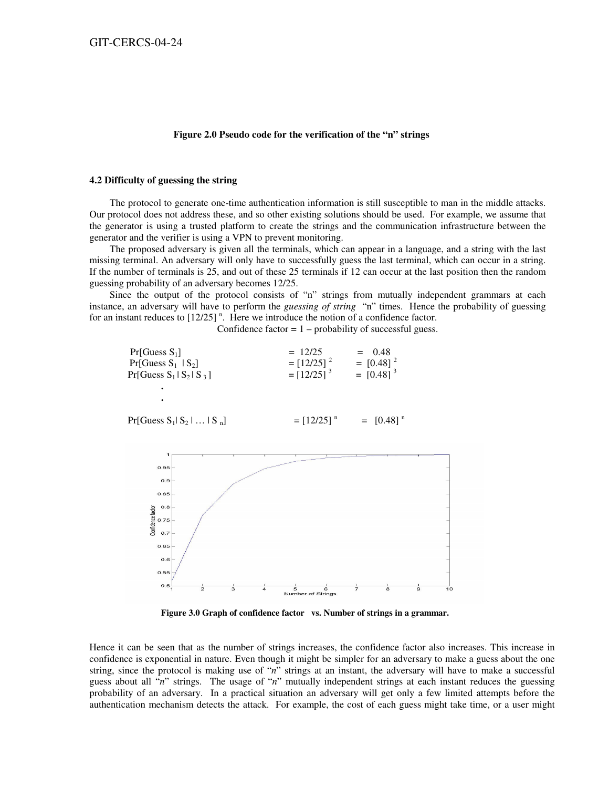#### **Figure 2.0 Pseudo code for the verification of the "n" strings**

#### **4.2 Difficulty of guessing the string**

The protocol to generate one-time authentication information is still susceptible to man in the middle attacks. Our protocol does not address these, and so other existing solutions should be used. For example, we assume that the generator is using a trusted platform to create the strings and the communication infrastructure between the generator and the verifier is using a VPN to prevent monitoring.

The proposed adversary is given all the terminals, which can appear in a language, and a string with the last missing terminal. An adversary will only have to successfully guess the last terminal, which can occur in a string. If the number of terminals is 25, and out of these 25 terminals if 12 can occur at the last position then the random guessing probability of an adversary becomes 12/25.

Since the output of the protocol consists of "n" strings from mutually independent grammars at each instance, an adversary will have to perform the *guessing of string* "n" times. Hence the probability of guessing for an instant reduces to  $[12/25]$ <sup>n</sup>. Here we introduce the notion of a confidence factor.

Confidence factor  $= 1$  – probability of successful guess.

| Pr[Guess S <sub>1</sub> ]<br>$Pr[Guess S_1   S_2]$<br>$Pr[Guess S1   S2   S3]$ | $= 12/25$<br>$=[12/25]$ <sup>2</sup><br>$=[12/25]$ <sup>3</sup> | $= 0.48$<br>$=$ [0.48] <sup>2</sup><br>$=$ [0.48] <sup>3</sup> |
|--------------------------------------------------------------------------------|-----------------------------------------------------------------|----------------------------------------------------------------|
|                                                                                |                                                                 |                                                                |
| $Pr[Guess S1  S2   Sn]$                                                        | $=[12/25]$ <sup>n</sup>                                         | $=$ [0.48] <sup>n</sup>                                        |



**Figure 3.0 Graph of confidence factor vs. Number of strings in a grammar.**

Hence it can be seen that as the number of strings increases, the confidence factor also increases. This increase in confidence is exponential in nature. Even though it might be simpler for an adversary to make a guess about the one string, since the protocol is making use of "*n*" strings at an instant, the adversary will have to make a successful guess about all "*n*" strings. The usage of "*n*" mutually independent strings at each instant reduces the guessing probability of an adversary. In a practical situation an adversary will get only a few limited attempts before the authentication mechanism detects the attack. For example, the cost of each guess might take time, or a user might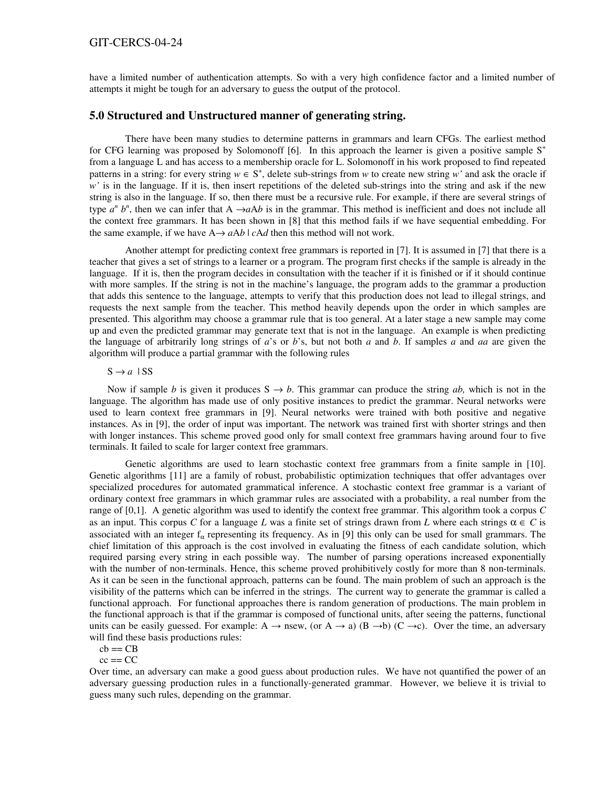#### GIT-CERCS-04-24

have a limited number of authentication attempts. So with a very high confidence factor and a limited number of attempts it might be tough for an adversary to guess the output of the protocol.

### **5.0 Structured and Unstructured manner of generating string.**

There have been many studies to determine patterns in grammars and learn CFGs. The earliest method for CFG learning was proposed by Solomonoff [6]. In this approach the learner is given a positive sample S<sup>+</sup> from a language L and has access to a membership oracle for L. Solomonoff in his work proposed to find repeated patterns in a string: for every string  $w \in S^+$ , delete sub-strings from w to create new string w' and ask the oracle if *w'* is in the language. If it is, then insert repetitions of the deleted sub-strings into the string and ask if the new string is also in the language. If so, then there must be a recursive rule. For example, if there are several strings of type  $a^n b^n$ , then we can infer that A  $\rightarrow aAb$  is in the grammar. This method is inefficient and does not include all the context free grammars. It has been shown in [8] that this method fails if we have sequential embedding. For the same example, if we have  $A \rightarrow aAb \mid cAd$  then this method will not work.

Another attempt for predicting context free grammars is reported in [7]. It is assumed in [7] that there is a teacher that gives a set of strings to a learner or a program. The program first checks if the sample is already in the language. If it is, then the program decides in consultation with the teacher if it is finished or if it should continue with more samples. If the string is not in the machine's language, the program adds to the grammar a production that adds this sentence to the language, attempts to verify that this production does not lead to illegal strings, and requests the next sample from the teacher. This method heavily depends upon the order in which samples are presented. This algorithm may choose a grammar rule that is too general. At a later stage a new sample may come up and even the predicted grammar may generate text that is not in the language. An example is when predicting the language of arbitrarily long strings of *a*'s or *b*'s, but not both *a* and *b*. If samples *a* and *aa* are given the algorithm will produce a partial grammar with the following rules

#### $S \rightarrow a$  | SS

Now if sample *b* is given it produces  $S \rightarrow b$ . This grammar can produce the string *ab*, which is not in the language. The algorithm has made use of only positive instances to predict the grammar. Neural networks were used to learn context free grammars in [9]. Neural networks were trained with both positive and negative instances. As in [9], the order of input was important. The network was trained first with shorter strings and then with longer instances. This scheme proved good only for small context free grammars having around four to five terminals. It failed to scale for larger context free grammars.

Genetic algorithms are used to learn stochastic context free grammars from a finite sample in [10]. Genetic algorithms [11] are a family of robust, probabilistic optimization techniques that offer advantages over specialized procedures for automated grammatical inference. A stochastic context free grammar is a variant of ordinary context free grammars in which grammar rules are associated with a probability, a real number from the range of [0,1]. A genetic algorithm was used to identify the context free grammar. This algorithm took a corpus *C* as an input. This corpus C for a language L was a finite set of strings drawn from L where each strings  $\alpha \in C$  is associated with an integer  $f_\alpha$  representing its frequency. As in [9] this only can be used for small grammars. The chief limitation of this approach is the cost involved in evaluating the fitness of each candidate solution, which required parsing every string in each possible way. The number of parsing operations increased exponentially with the number of non-terminals. Hence, this scheme proved prohibitively costly for more than 8 non-terminals. As it can be seen in the functional approach, patterns can be found. The main problem of such an approach is the visibility of the patterns which can be inferred in the strings. The current way to generate the grammar is called a functional approach. For functional approaches there is random generation of productions. The main problem in the functional approach is that if the grammar is composed of functional units, after seeing the patterns, functional units can be easily guessed. For example: A  $\rightarrow$  nsew, (or A  $\rightarrow$  a) (B  $\rightarrow$ b) (C  $\rightarrow$ c). Over the time, an adversary will find these basis productions rules:

#### $cb == CB$

 $cc == CC$ 

Over time, an adversary can make a good guess about production rules. We have not quantified the power of an adversary guessing production rules in a functionally-generated grammar. However, we believe it is trivial to guess many such rules, depending on the grammar.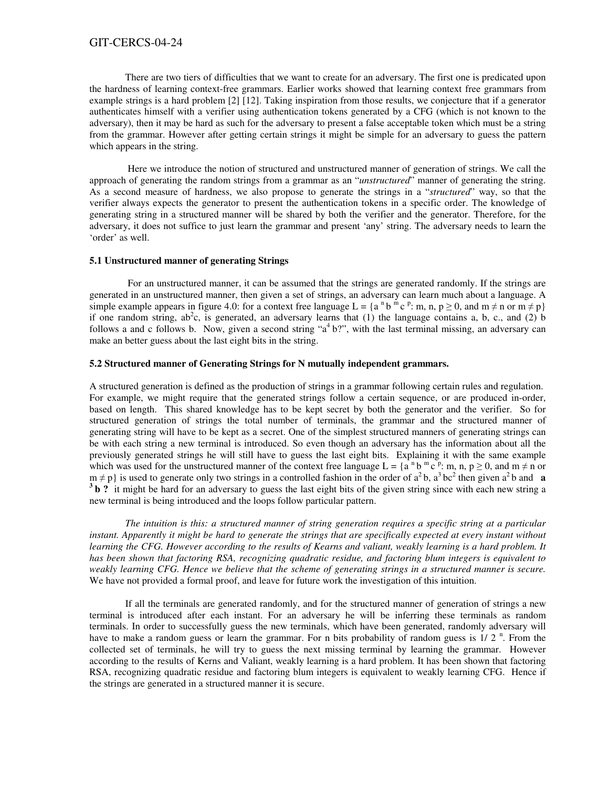### GIT-CERCS-04-24

There are two tiers of difficulties that we want to create for an adversary. The first one is predicated upon the hardness of learning context-free grammars. Earlier works showed that learning context free grammars from example strings is a hard problem [2] [12]. Taking inspiration from those results, we conjecture that if a generator authenticates himself with a verifier using authentication tokens generated by a CFG (which is not known to the adversary), then it may be hard as such for the adversary to present a false acceptable token which must be a string from the grammar. However after getting certain strings it might be simple for an adversary to guess the pattern which appears in the string.

Here we introduce the notion of structured and unstructured manner of generation of strings. We call the approach of generating the random strings from a grammar as an "*unstructured*" manner of generating the string. As a second measure of hardness, we also propose to generate the strings in a "*structured*" way, so that the verifier always expects the generator to present the authentication tokens in a specific order. The knowledge of generating string in a structured manner will be shared by both the verifier and the generator. Therefore, for the adversary, it does not suffice to just learn the grammar and present 'any' string. The adversary needs to learn the 'order' as well.

#### **5.1 Unstructured manner of generating Strings**

For an unstructured manner, it can be assumed that the strings are generated randomly. If the strings are generated in an unstructured manner, then given a set of strings, an adversary can learn much about a language. A simple example appears in figure 4.0: for a context free language  $L = \{a^n b^m c^p : m, n, p \ge 0, \text{ and } m \ne n \text{ or } m \ne p\}$ if one random string, ab<sup>2</sup>c, is generated, an adversary learns that (1) the language contains a, b, c., and (2) b follows a and c follows b. Now, given a second string " $a<sup>4</sup> b$ ", with the last terminal missing, an adversary can make an better guess about the last eight bits in the string.

#### **5.2 Structured manner of Generating Strings for N mutually independent grammars.**

A structured generation is defined as the production of strings in a grammar following certain rules and regulation. For example, we might require that the generated strings follow a certain sequence, or are produced in-order, based on length. This shared knowledge has to be kept secret by both the generator and the verifier. So for structured generation of strings the total number of terminals, the grammar and the structured manner of generating string will have to be kept as a secret. One of the simplest structured manners of generating strings can be with each string a new terminal is introduced. So even though an adversary has the information about all the previously generated strings he will still have to guess the last eight bits. Explaining it with the same example which was used for the unstructured manner of the context free language  $L = \{a^{n}b^{m}c^{p} : m, n, p \ge 0, \text{ and } m \ne n \text{ or } a \ne n\}$  $m \neq p$  is used to generate only two strings in a controlled fashion in the order of  $a^2 b$ ,  $a^3 bc^2$  then given  $a^2 b$  and **a 3 b ?** it might be hard for an adversary to guess the last eight bits of the given string since with each new string a new terminal is being introduced and the loops follow particular pattern.

The intuition is this: a structured manner of string generation requires a specific string at a particular instant. Apparently it might be hard to generate the strings that are specifically expected at every instant without learning the CFG. However according to the results of Kearns and valiant, weakly learning is a hard problem. It *has been shown that factoring RSA, recognizing quadratic residue, and factoring blum integers is equivalent to* weakly learning CFG. Hence we believe that the scheme of generating strings in a structured manner is secure. We have not provided a formal proof, and leave for future work the investigation of this intuition.

If all the terminals are generated randomly, and for the structured manner of generation of strings a new terminal is introduced after each instant. For an adversary he will be inferring these terminals as random terminals. In order to successfully guess the new terminals, which have been generated, randomly adversary will have to make a random guess or learn the grammar. For n bits probability of random guess is 1/2<sup>n</sup>. From the collected set of terminals, he will try to guess the next missing terminal by learning the grammar. However according to the results of Kerns and Valiant, weakly learning is a hard problem. It has been shown that factoring RSA, recognizing quadratic residue and factoring blum integers is equivalent to weakly learning CFG. Hence if the strings are generated in a structured manner it is secure.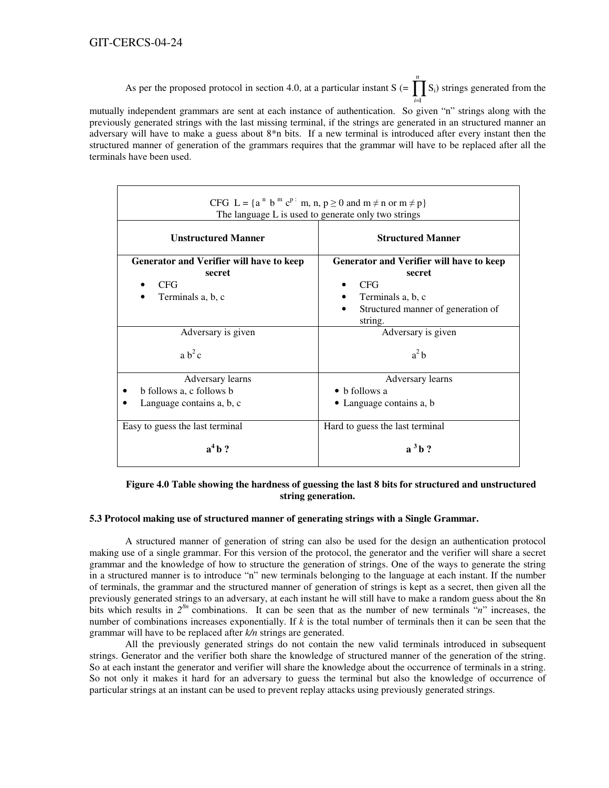As per the proposed protocol in section 4.0, at a particular instant S  $(=\prod_{i=1}^{n}$ *i*=1  $S_i$ ) strings generated from the

mutually independent grammars are sent at each instance of authentication. So given "n" strings along with the previously generated strings with the last missing terminal, if the strings are generated in an structured manner an adversary will have to make a guess about 8\*n bits. If a new terminal is introduced after every instant then the structured manner of generation of the grammars requires that the grammar will have to be replaced after all the terminals have been used.

| CFG L = { $a^n$ b <sup>m</sup> c <sup>p</sup> : m, n, $p \ge 0$ and m $\neq$ n or m $\neq$ p}<br>The language L is used to generate only two strings |                                                                                                                                        |  |
|------------------------------------------------------------------------------------------------------------------------------------------------------|----------------------------------------------------------------------------------------------------------------------------------------|--|
| <b>Unstructured Manner</b>                                                                                                                           | <b>Structured Manner</b>                                                                                                               |  |
| Generator and Verifier will have to keep<br>secret<br><b>CFG</b><br>Terminals a, b, c                                                                | Generator and Verifier will have to keep<br>secret<br><b>CFG</b><br>Terminals a, b, c<br>Structured manner of generation of<br>string. |  |
| Adversary is given                                                                                                                                   | Adversary is given                                                                                                                     |  |
| $ab^2c$                                                                                                                                              | $a^2b$                                                                                                                                 |  |
| Adversary learns                                                                                                                                     | Adversary learns                                                                                                                       |  |
| b follows a, c follows b                                                                                                                             | h follows a                                                                                                                            |  |
| Language contains a, b, c                                                                                                                            | • Language contains a, b                                                                                                               |  |
| Easy to guess the last terminal                                                                                                                      | Hard to guess the last terminal                                                                                                        |  |
| $a^4b$ ?                                                                                                                                             | $a^3b?$                                                                                                                                |  |

### **Figure 4.0 Table showing the hardness of guessing the last 8 bits for structured and unstructured string generation.**

## **5.3 Protocol making use of structured manner of generating strings with a Single Grammar.**

A structured manner of generation of string can also be used for the design an authentication protocol making use of a single grammar. For this version of the protocol, the generator and the verifier will share a secret grammar and the knowledge of how to structure the generation of strings. One of the ways to generate the string in a structured manner is to introduce "n" new terminals belonging to the language at each instant. If the number of terminals, the grammar and the structured manner of generation of strings is kept as a secret, then given all the previously generated strings to an adversary, at each instant he will still have to make a random guess about the 8n bits which results in  $2^{8n}$  combinations. It can be seen that as the number of new terminals "*n*" increases, the number of combinations increases exponentially. If *k* is the total number of terminals then it can be seen that the grammar will have to be replaced after *k/n* strings are generated.

All the previously generated strings do not contain the new valid terminals introduced in subsequent strings. Generator and the verifier both share the knowledge of structured manner of the generation of the string. So at each instant the generator and verifier will share the knowledge about the occurrence of terminals in a string. So not only it makes it hard for an adversary to guess the terminal but also the knowledge of occurrence of particular strings at an instant can be used to prevent replay attacks using previously generated strings.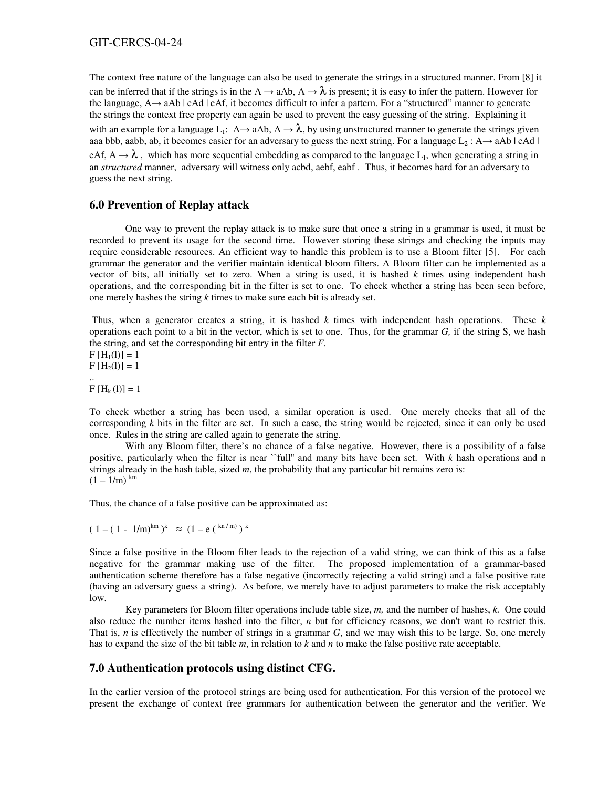The context free nature of the language can also be used to generate the strings in a structured manner. From [8] it can be inferred that if the strings is in the A  $\rightarrow$  aAb, A  $\rightarrow \lambda$  is present; it is easy to infer the pattern. However for the language,  $A \rightarrow aAb \mid cAd \mid eAf$ , it becomes difficult to infer a pattern. For a "structured" manner to generate the strings the context free property can again be used to prevent the easy guessing of the string. Explaining it with an example for a language L<sub>1</sub>: A  $\rightarrow$  aAb, A  $\rightarrow \lambda$ , by using unstructured manner to generate the strings given aaa bbb, aabb, ab, it becomes easier for an adversary to guess the next string. For a language  $L_2 : A \rightarrow aAb | cAd |$ eAf,  $A \to \lambda$ , which has more sequential embedding as compared to the language L<sub>1</sub>, when generating a string in an *structured* manner, adversary will witness only acbd, aebf, eabf . Thus, it becomes hard for an adversary to guess the next string.

# **6.0 Prevention of Replay attack**

One way to prevent the replay attack is to make sure that once a string in a grammar is used, it must be recorded to prevent its usage for the second time. However storing these strings and checking the inputs may require considerable resources. An efficient way to handle this problem is to use a Bloom filter [5]. For each grammar the generator and the verifier maintain identical bloom filters. A Bloom filter can be implemented as a vector of bits, all initially set to zero. When a string is used, it is hashed *k* times using independent hash operations, and the corresponding bit in the filter is set to one. To check whether a string has been seen before, one merely hashes the string *k* times to make sure each bit is already set.

Thus, when a generator creates a string, it is hashed *k* times with independent hash operations. These *k* operations each point to a bit in the vector, which is set to one. Thus, for the grammar *G,* if the string S, we hash the string, and set the corresponding bit entry in the filter *F.*

 $F[H_1(1)] = 1$  $F[H<sub>2</sub>(1)] = 1$ ..  $F[H_{k}(1)]=1$ 

To check whether a string has been used, a similar operation is used. One merely checks that all of the corresponding *k* bits in the filter are set. In such a case, the string would be rejected, since it can only be used once. Rules in the string are called again to generate the string.

With any Bloom filter, there's no chance of a false negative. However, there is a possibility of a false positive, particularly when the filter is near ``full'' and many bits have been set. With *k* hash operations and n strings already in the hash table, sized *m*, the probability that any particular bit remains zero is:  $(1 - 1/m)^{km}$ 

Thus, the chance of a false positive can be approximated as:

$$
(\ 1 - (\ 1 - \ 1/m)^{km}\ )^k \ \approx \ (1 - e\ (k^{kn/m})\ )^k
$$

Since a false positive in the Bloom filter leads to the rejection of a valid string, we can think of this as a false negative for the grammar making use of the filter. The proposed implementation of a grammar-based authentication scheme therefore has a false negative (incorrectly rejecting a valid string) and a false positive rate (having an adversary guess a string). As before, we merely have to adjust parameters to make the risk acceptably low.

Key parameters for Bloom filter operations include table size, *m,* and the number of hashes, *k.* One could also reduce the number items hashed into the filter, *n* but for efficiency reasons, we don't want to restrict this. That is, *n* is effectively the number of strings in a grammar *G*, and we may wish this to be large. So, one merely has to expand the size of the bit table *m*, in relation to *k* and *n* to make the false positive rate acceptable.

## **7.0 Authentication protocols using distinct CFG.**

In the earlier version of the protocol strings are being used for authentication. For this version of the protocol we present the exchange of context free grammars for authentication between the generator and the verifier. We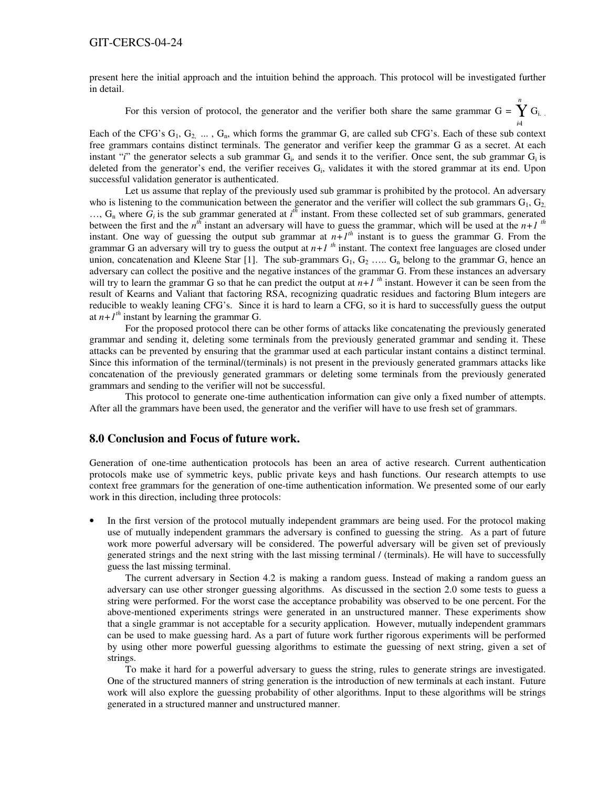present here the initial approach and the intuition behind the approach. This protocol will be investigated further in detail.

For this version of protocol, the generator and the verifier both share the same grammar  $G = Y G_i$ .

*n*

*i*=1 Each of the CFG's  $G_1, G_2, \ldots, G_n$ , which forms the grammar G, are called sub CFG's. Each of these sub context free grammars contains distinct terminals. The generator and verifier keep the grammar G as a secret. At each instant "*i*" the generator selects a sub grammar  $G_i$ , and sends it to the verifier. Once sent, the sub grammar  $G_i$  is deleted from the generator's end, the verifier receives  $G_i$ , validates it with the stored grammar at its end. Upon successful validation generator is authenticated.

Let us assume that replay of the previously used sub grammar is prohibited by the protocol. An adversary who is listening to the communication between the generator and the verifier will collect the sub grammars  $G_1, G_2$  $..., G_n$  where  $G_i$  is the sub grammar generated at  $i^{th}$  instant. From these collected set of sub grammars, generated between the first and the  $n^{th}$  instant an adversary will have to guess the grammar, which will be used at the  $n+1$ <sup>th</sup> instant. One way of guessing the output sub grammar at  $n+1$ <sup>th</sup> instant is to guess the grammar G. From the grammar G an adversary will try to guess the output at  $n+1$ <sup>th</sup> instant. The context free languages are closed under union, concatenation and Kleene Star [1]. The sub-grammars  $G_1, G_2, \ldots, G_n$  belong to the grammar G, hence an adversary can collect the positive and the negative instances of the grammar G. From these instances an adversary will try to learn the grammar G so that he can predict the output at  $n+1$ <sup>th</sup> instant. However it can be seen from the result of Kearns and Valiant that factoring RSA, recognizing quadratic residues and factoring Blum integers are reducible to weakly leaning CFG's. Since it is hard to learn a CFG, so it is hard to successfully guess the output at  $n+1$ <sup>th</sup> instant by learning the grammar G.

For the proposed protocol there can be other forms of attacks like concatenating the previously generated grammar and sending it, deleting some terminals from the previously generated grammar and sending it. These attacks can be prevented by ensuring that the grammar used at each particular instant contains a distinct terminal. Since this information of the terminal/(terminals) is not present in the previously generated grammars attacks like concatenation of the previously generated grammars or deleting some terminals from the previously generated grammars and sending to the verifier will not be successful.

This protocol to generate one-time authentication information can give only a fixed number of attempts. After all the grammars have been used, the generator and the verifier will have to use fresh set of grammars.

### **8.0 Conclusion and Focus of future work.**

Generation of one-time authentication protocols has been an area of active research. Current authentication protocols make use of symmetric keys, public private keys and hash functions. Our research attempts to use context free grammars for the generation of one-time authentication information. We presented some of our early work in this direction, including three protocols:

In the first version of the protocol mutually independent grammars are being used. For the protocol making use of mutually independent grammars the adversary is confined to guessing the string. As a part of future work more powerful adversary will be considered. The powerful adversary will be given set of previously generated strings and the next string with the last missing terminal / (terminals). He will have to successfully guess the last missing terminal.

The current adversary in Section 4.2 is making a random guess. Instead of making a random guess an adversary can use other stronger guessing algorithms. As discussed in the section 2.0 some tests to guess a string were performed. For the worst case the acceptance probability was observed to be one percent. For the above-mentioned experiments strings were generated in an unstructured manner. These experiments show that a single grammar is not acceptable for a security application. However, mutually independent grammars can be used to make guessing hard. As a part of future work further rigorous experiments will be performed by using other more powerful guessing algorithms to estimate the guessing of next string, given a set of strings.

To make it hard for a powerful adversary to guess the string, rules to generate strings are investigated. One of the structured manners of string generation is the introduction of new terminals at each instant. Future work will also explore the guessing probability of other algorithms. Input to these algorithms will be strings generated in a structured manner and unstructured manner.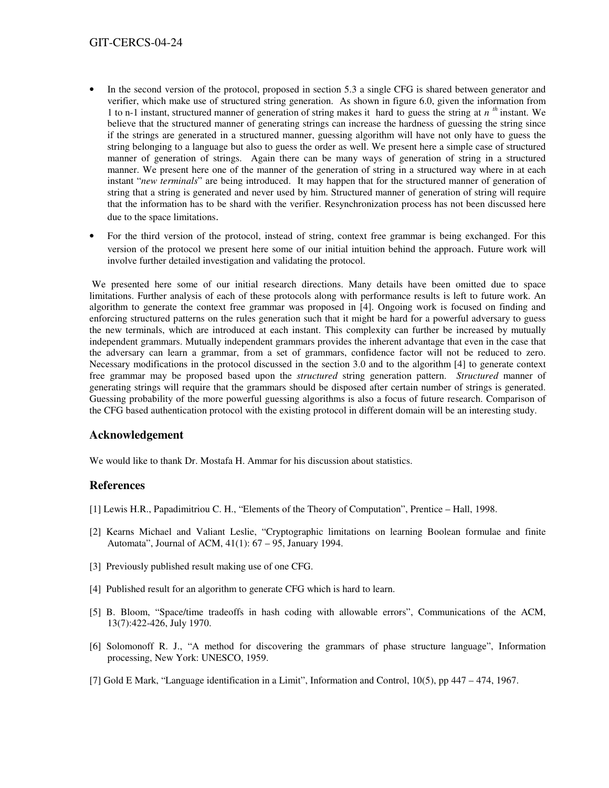- In the second version of the protocol, proposed in section 5.3 a single CFG is shared between generator and verifier, which make use of structured string generation. As shown in figure 6.0, given the information from 1 to n-1 instant, structured manner of generation of string makes it hard to guess the string at *n th* instant. We believe that the structured manner of generating strings can increase the hardness of guessing the string since if the strings are generated in a structured manner, guessing algorithm will have not only have to guess the string belonging to a language but also to guess the order as well. We present here a simple case of structured manner of generation of strings. Again there can be many ways of generation of string in a structured manner. We present here one of the manner of the generation of string in a structured way where in at each instant "*new terminals*" are being introduced. It may happen that for the structured manner of generation of string that a string is generated and never used by him. Structured manner of generation of string will require that the information has to be shard with the verifier. Resynchronization process has not been discussed here due to the space limitations.
- For the third version of the protocol, instead of string, context free grammar is being exchanged. For this version of the protocol we present here some of our initial intuition behind the approach. Future work will involve further detailed investigation and validating the protocol.

We presented here some of our initial research directions. Many details have been omitted due to space limitations. Further analysis of each of these protocols along with performance results is left to future work. An algorithm to generate the context free grammar was proposed in [4]. Ongoing work is focused on finding and enforcing structured patterns on the rules generation such that it might be hard for a powerful adversary to guess the new terminals, which are introduced at each instant. This complexity can further be increased by mutually independent grammars. Mutually independent grammars provides the inherent advantage that even in the case that the adversary can learn a grammar, from a set of grammars, confidence factor will not be reduced to zero. Necessary modifications in the protocol discussed in the section 3.0 and to the algorithm [4] to generate context free grammar may be proposed based upon the *structured* string generation pattern. *Structured* manner of generating strings will require that the grammars should be disposed after certain number of strings is generated. Guessing probability of the more powerful guessing algorithms is also a focus of future research. Comparison of the CFG based authentication protocol with the existing protocol in different domain will be an interesting study.

## **Acknowledgement**

We would like to thank Dr. Mostafa H. Ammar for his discussion about statistics.

## **References**

- [1] Lewis H.R., Papadimitriou C. H., "Elements of the Theory of Computation", Prentice Hall, 1998.
- [2] Kearns Michael and Valiant Leslie, "Cryptographic limitations on learning Boolean formulae and finite Automata", Journal of ACM, 41(1): 67 – 95, January 1994.
- [3] Previously published result making use of one CFG.
- [4] Published result for an algorithm to generate CFG which is hard to learn.
- [5] B. Bloom, "Space/time tradeoffs in hash coding with allowable errors", Communications of the ACM, 13(7):422-426, July 1970.
- [6] Solomonoff R. J., "A method for discovering the grammars of phase structure language", Information processing, New York: UNESCO, 1959.
- [7] Gold E Mark, "Language identification in a Limit", Information and Control, 10(5), pp 447 474, 1967.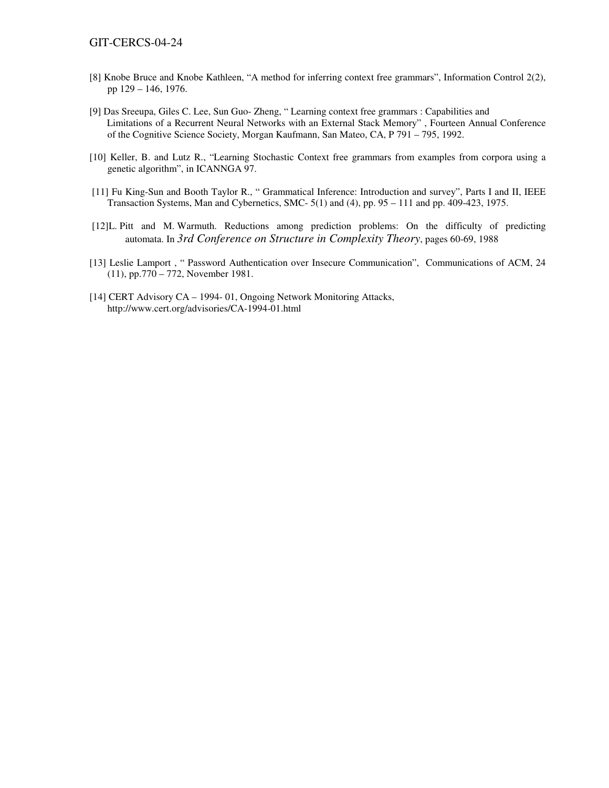- [8] Knobe Bruce and Knobe Kathleen, "A method for inferring context free grammars", Information Control 2(2), pp 129 – 146, 1976.
- [9] Das Sreeupa, Giles C. Lee, Sun Guo- Zheng, " Learning context free grammars : Capabilities and Limitations of a Recurrent Neural Networks with an External Stack Memory" , Fourteen Annual Conference of the Cognitive Science Society, Morgan Kaufmann, San Mateo, CA, P 791 – 795, 1992.
- [10] Keller, B. and Lutz R., "Learning Stochastic Context free grammars from examples from corpora using a genetic algorithm", in ICANNGA 97.
- [11] Fu King-Sun and Booth Taylor R., " Grammatical Inference: Introduction and survey", Parts I and II, IEEE Transaction Systems, Man and Cybernetics, SMC- 5(1) and (4), pp. 95 – 111 and pp. 409-423, 1975.
- [12]L. Pitt and M. Warmuth. Reductions among prediction problems: On the difficulty of predicting automata. In *3rd Conference on Structure in Complexity Theory*, pages 60-69, 1988
- [13] Leslie Lamport, " Password Authentication over Insecure Communication", Communications of ACM, 24 (11), pp.770 – 772, November 1981.
- [14] CERT Advisory CA 1994- 01, Ongoing Network Monitoring Attacks, http://www.cert.org/advisories/CA-1994-01.html